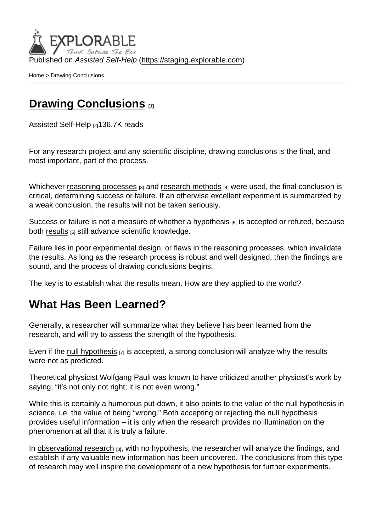Published on Assisted Self-Help [\(https://staging.explorable.com](https://staging.explorable.com))

[Home](https://staging.explorable.com/en) > Drawing Conclusions

#### [Drawing Conclusions](https://staging.explorable.com/en/drawing-conclusions) [1]

[Assisted Self-Help](https://staging.explorable.com/en) [2]136.7K reads

For any research project and any scientific discipline, drawing conclusions is the final, and most important, part of the process.

Whichever [reasoning processes](https://staging.explorable.com/scientific-reasoning)  $[3]$  and [research methods](https://staging.explorable.com/research-designs)  $[4]$  were used, the final conclusion is critical, determining success or failure. If an otherwise excellent experiment is summarized by a weak conclusion, the results will not be taken seriously.

Success or failure is not a measure of whether a [hypothesis](https://staging.explorable.com/research-hypothesis) [5] is accepted or refuted, because both [results](https://staging.explorable.com/statistically-significant-results) [6] still advance scientific knowledge.

Failure lies in poor experimental design, or flaws in the reasoning processes, which invalidate the results. As long as the research process is robust and well designed, then the findings are sound, and the process of drawing conclusions begins.

The key is to establish what the results mean. How are they applied to the world?

#### What Has Been Learned?

Generally, a researcher will summarize what they believe has been learned from the research, and will try to assess the strength of the hypothesis.

Even if the [null hypothesis](https://staging.explorable.com/null-hypothesis)  $[7]$  is accepted, a strong conclusion will analyze why the results were not as predicted.

Theoretical physicist Wolfgang Pauli was known to have criticized another physicist's work by saying, "it's not only not right; it is not even wrong."

While this is certainly a humorous put-down, it also points to the value of the null hypothesis in science, i.e. the value of being "wrong." Both accepting or rejecting the null hypothesis provides useful information – it is only when the research provides no illumination on the phenomenon at all that it is truly a failure.

In [observational research](https://staging.explorable.com/observational-study)  $_{[8]}$ , with no hypothesis, the researcher will analyze the findings, and establish if any valuable new information has been uncovered. The conclusions from this type of research may well inspire the development of a new hypothesis for further experiments.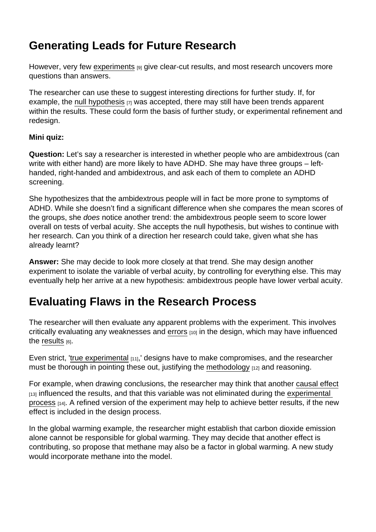# Generating Leads for Future Research

However, very few [experiments](https://staging.explorable.com/conducting-an-experiment) [9] give clear-cut results, and most research uncovers more questions than answers.

The researcher can use these to suggest interesting directions for further study. If, for example, the [null hypothesis](https://staging.explorable.com/null-hypothesis)  $[7]$  was accepted, there may still have been trends apparent within the results. These could form the basis of further study, or experimental refinement and redesign.

Mini quiz:

Question: Let's say a researcher is interested in whether people who are ambidextrous (can write with either hand) are more likely to have ADHD. She may have three groups – lefthanded, right-handed and ambidextrous, and ask each of them to complete an ADHD screening.

She hypothesizes that the ambidextrous people will in fact be more prone to symptoms of ADHD. While she doesn't find a significant difference when she compares the mean scores of the groups, she does notice another trend: the ambidextrous people seem to score lower overall on tests of verbal acuity. She accepts the null hypothesis, but wishes to continue with her research. Can you think of a direction her research could take, given what she has already learnt?

Answer: She may decide to look more closely at that trend. She may design another experiment to isolate the variable of verbal acuity, by controlling for everything else. This may eventually help her arrive at a new hypothesis: ambidextrous people have lower verbal acuity.

## Evaluating Flaws in the Research Process

The researcher will then evaluate any apparent problems with the experiment. This involves critically evaluating any weaknesses and [errors](https://staging.explorable.com/systematic-error) [10] in the design, which may have influenced the [results](https://staging.explorable.com/statistically-significant-results)  $[6]$ .

Even strict, '[true experimental](https://staging.explorable.com/true-experimental-design) [11],' designs have to make compromises, and the researcher must be thorough in pointing these out, justifying the [methodology](https://staging.explorable.com/research-methodology) [12] and reasoning.

For example, when drawing conclusions, the researcher may think that another [causal effect](https://staging.explorable.com/causal-reasoning)  $_{[13]}$  influenced the results, and that this variable was not eliminated during the experimental [process](https://staging.explorable.com/experimental-research) [14]. A refined version of the experiment may help to achieve better results, if the new effect is included in the design process.

In the global warming example, the researcher might establish that carbon dioxide emission alone cannot be responsible for global warming. They may decide that another effect is contributing, so propose that methane may also be a factor in global warming. A new study would incorporate methane into the model.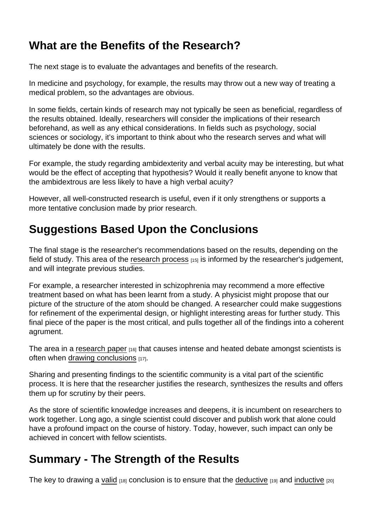# What are the Benefits of the Research?

The next stage is to evaluate the advantages and benefits of the research.

In medicine and psychology, for example, the results may throw out a new way of treating a medical problem, so the advantages are obvious.

In some fields, certain kinds of research may not typically be seen as beneficial, regardless of the results obtained. Ideally, researchers will consider the implications of their research beforehand, as well as any ethical considerations. In fields such as psychology, social sciences or sociology, it's important to think about who the research serves and what will ultimately be done with the results.

For example, the study regarding ambidexterity and verbal acuity may be interesting, but what would be the effect of accepting that hypothesis? Would it really benefit anyone to know that the ambidextrous are less likely to have a high verbal acuity?

However, all well-constructed research is useful, even if it only strengthens or supports a more tentative conclusion made by prior research.

# Suggestions Based Upon the Conclusions

The final stage is the researcher's recommendations based on the results, depending on the field of study. This area of the [research process](https://staging.explorable.com/steps-of-the-scientific-method)  $[15]$  is informed by the researcher's judgement, and will integrate previous studies.

For example, a researcher interested in schizophrenia may recommend a more effective treatment based on what has been learnt from a study. A physicist might propose that our picture of the structure of the atom should be changed. A researcher could make suggestions for refinement of the experimental design, or highlight interesting areas for further study. This final piece of the paper is the most critical, and pulls together all of the findings into a coherent agrument.

The area in a [research paper](https://staging.explorable.com/write-a-research-paper)  $116$  that causes intense and heated debate amongst scientists is often when [drawing conclusions](http://linguistics.byu.edu/faculty/henrichsenl/researchmethods/RM_3_06) [17].

Sharing and presenting findings to the scientific community is a vital part of the scientific process. It is here that the researcher justifies the research, synthesizes the results and offers them up for scrutiny by their peers.

As the store of scientific knowledge increases and deepens, it is incumbent on researchers to work together. Long ago, a single scientist could discover and publish work that alone could have a profound impact on the course of history. Today, however, such impact can only be achieved in concert with fellow scientists.

## Summary - The Strength of the Results

The key to drawing a [valid](https://staging.explorable.com/types-of-validity)  $18$  conclusion is to ensure that the [deductive](https://staging.explorable.com/deductive-reasoning)  $19$  and [inductive](https://staging.explorable.com/inductive-reasoning)  $120$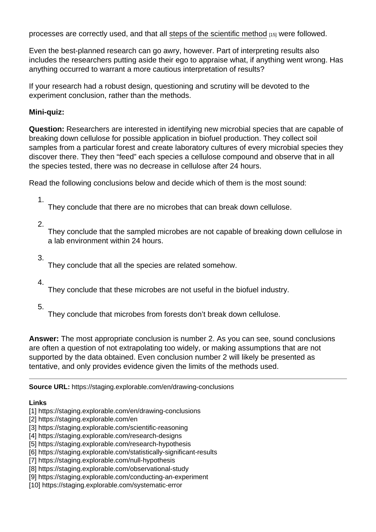processes are correctly used, and that all [steps of the scientific method](https://staging.explorable.com/steps-of-the-scientific-method) [15] were followed.

Even the best-planned research can go awry, however. Part of interpreting results also includes the researchers putting aside their ego to appraise what, if anything went wrong. Has anything occurred to warrant a more cautious interpretation of results?

If your research had a robust design, questioning and scrutiny will be devoted to the experiment conclusion, rather than the methods.

Mini-quiz:

Question: Researchers are interested in identifying new microbial species that are capable of breaking down cellulose for possible application in biofuel production. They collect soil samples from a particular forest and create laboratory cultures of every microbial species they discover there. They then "feed" each species a cellulose compound and observe that in all the species tested, there was no decrease in cellulose after 24 hours.

Read the following conclusions below and decide which of them is the most sound:

1.

They conclude that there are no microbes that can break down cellulose.

2.

They conclude that the sampled microbes are not capable of breaking down cellulose in a lab environment within 24 hours.

3.

They conclude that all the species are related somehow.

4.

They conclude that these microbes are not useful in the biofuel industry.

5.

They conclude that microbes from forests don't break down cellulose.

Answer: The most appropriate conclusion is number 2. As you can see, sound conclusions are often a question of not extrapolating too widely, or making assumptions that are not supported by the data obtained. Even conclusion number 2 will likely be presented as tentative, and only provides evidence given the limits of the methods used.

Source URL: https://staging.explorable.com/en/drawing-conclusions

Links

[1] https://staging.explorable.com/en/drawing-conclusions

[2] https://staging.explorable.com/en

- [4] https://staging.explorable.com/research-designs
- [5] https://staging.explorable.com/research-hypothesis
- [6] https://staging.explorable.com/statistically-significant-results

[7] https://staging.explorable.com/null-hypothesis

- [8] https://staging.explorable.com/observational-study
- [9] https://staging.explorable.com/conducting-an-experiment
- [10] https://staging.explorable.com/systematic-error

<sup>[3]</sup> https://staging.explorable.com/scientific-reasoning